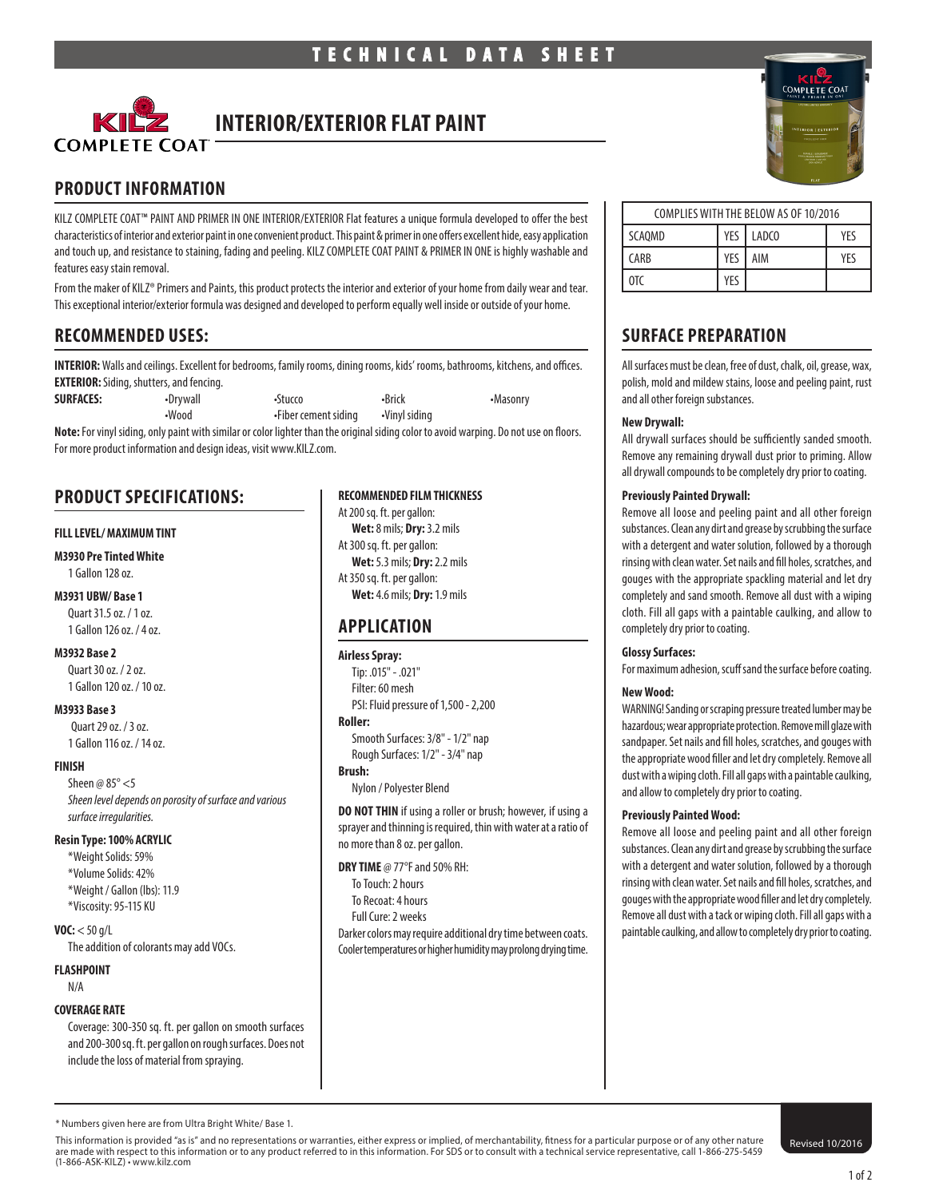

# **INTERIOR/EXTERIOR FLAT PAINT**

# **PRODUCT INFORMATION**

KILZ COMPLETE COAT™ PAINT AND PRIMER IN ONE INTERIOR/EXTERIOR Flat features a unique formula developed to offer the best characteristics of interior and exterior paint in one convenient product. This paint & primer in one offers excellent hide, easy application and touch up, and resistance to staining, fading and peeling. KILZ COMPLETE COAT PAINT & PRIMER IN ONE is highly washable and features easy stain removal.

From the maker of KILZ® Primers and Paints, this product protects the interior and exterior of your home from daily wear and tear. This exceptional interior/exterior formula was designed and developed to perform equally well inside or outside of your home.

# **RECOMMENDED USES:**

**INTERIOR:** Walls and ceilings. Excellent for bedrooms, family rooms, dining rooms, kids' rooms, bathrooms, kitchens, and offices. **EXTERIOR:** Siding, shutters, and fencing.

| <b>SURFACES:</b> | •Drywall | •Stucco              | •Brick        | •Masonry |  |
|------------------|----------|----------------------|---------------|----------|--|
|                  | •Wood    | •Fiber cement siding | •Vinyl siding |          |  |
|                  |          |                      |               |          |  |

**Note:** For vinyl siding, only paint with similar or color lighter than the original siding color to avoid warping. Do not use on floors. For more product information and design ideas, visit www.KILZ.com.

# **PRODUCT SPECIFICATIONS:**

#### **FILL LEVEL/ MAXIMUM TINT**

#### **M3930 Pre Tinted White**

1 Gallon 128 oz.

#### **M3931 UBW/ Base 1** Quart 31.5 oz. / 1 oz.

1 Gallon 126 oz. / 4 oz.

#### **M3932 Base 2**

Quart 30 oz. / 2 oz. 1 Gallon 120 oz. / 10 oz.

#### **M3933 Base 3**

Quart 29 oz. / 3 oz. 1 Gallon 116 oz. / 14 oz.

#### **FINISH**

Sheen  $\omega$  85° <5 *Sheen level depends on porosity of surface and various surface irregularities.*

#### **Resin Type: 100% ACRYLIC**

\*Weight Solids: 59% \*Volume Solids: 42% \*Weight / Gallon (lbs): 11.9 \*Viscosity: 95-115 KU

#### **VOC:** < 50 g/L

The addition of colorants may add VOCs.

# **FLASHPOINT**

N/A

#### **COVERAGE RATE**

Coverage: 300-350 sq. ft. per gallon on smooth surfaces and 200-300 sq. ft. per gallon on rough surfaces. Does not include the loss of material from spraying.

#### **RECOMMENDED FILM THICKNESS**

At 200 sq. ft. per gallon: **Wet:** 8 mils; **Dry:** 3.2 mils At 300 sq. ft. per gallon: **Wet:** 5.3 mils; **Dry:** 2.2 mils At 350 sq. ft. per gallon: **Wet:** 4.6 mils; **Dry:** 1.9 mils

# **APPLICATION**

#### **Airless Spray:**

Tip: .015" - .021" Filter: 60 mesh PSI: Fluid pressure of 1,500 - 2,200

#### **Roller:**

Smooth Surfaces: 3/8" - 1/2" nap Rough Surfaces: 1/2" - 3/4" nap

# **Brush:**

Nylon / Polyester Blend

**DO NOT THIN** if using a roller or brush; however, if using a sprayer and thinning is required, thin with water at a ratio of no more than 8 oz. per gallon.

#### **DRY TIME** @ 77°F and 50% RH:

- To Touch: 2 hours To Recoat: 4 hours
- Full Cure: 2 weeks
- 

Darker colors may require additional dry time between coats. Cooler temperatures or higher humidity may prolong drying time.



| COMPLIES WITH THE BELOW AS OF 10/2016 |     |           |     |  |  |
|---------------------------------------|-----|-----------|-----|--|--|
| SCAOMD                                |     | YES LADCO | YFS |  |  |
| <b>CARB</b>                           | YES | AIM       | YFS |  |  |
| 0T <sup>C</sup>                       | YFS |           |     |  |  |

# **SURFACE PREPARATION**

All surfaces must be clean, free of dust, chalk, oil, grease, wax, polish, mold and mildew stains, loose and peeling paint, rust and all other foreign substances.

#### **New Drywall:**

All drywall surfaces should be sufficiently sanded smooth. Remove any remaining drywall dust prior to priming. Allow all drywall compounds to be completely dry prior to coating.

#### **Previously Painted Drywall:**

Remove all loose and peeling paint and all other foreign substances. Clean any dirt and grease by scrubbing the surface with a detergent and water solution, followed by a thorough rinsing with clean water. Set nails and fill holes, scratches, and gouges with the appropriate spackling material and let dry completely and sand smooth. Remove all dust with a wiping cloth. Fill all gaps with a paintable caulking, and allow to completely dry prior to coating.

#### **Glossy Surfaces:**

For maximum adhesion, scuff sand the surface before coating.

#### **New Wood:**

WARNING! Sanding or scraping pressure treated lumber may be hazardous; wear appropriate protection. Remove mill glaze with sandpaper. Set nails and fill holes, scratches, and gouges with the appropriate wood filler and let dry completely. Remove all dust with a wiping cloth. Fill all gaps with a paintable caulking, and allow to completely dry prior to coating.

#### **Previously Painted Wood:**

Remove all loose and peeling paint and all other foreign substances. Clean any dirt and grease by scrubbing the surface with a detergent and water solution, followed by a thorough rinsing with clean water. Set nails and fill holes, scratches, and gouges with the appropriate wood filler and let dry completely. Remove all dust with a tack or wiping cloth. Fill all gaps with a paintable caulking, and allow to completely dry prior to coating.

This information is provided "as is" and no representations or warranties, either express or implied, of merchantability, fitness for a particular purpose or of any other nature<br>are made with respect to this information or (1-866-ASK-KILZ) • www.kilz.com

<sup>\*</sup> Numbers given here are from Ultra Bright White/ Base 1.